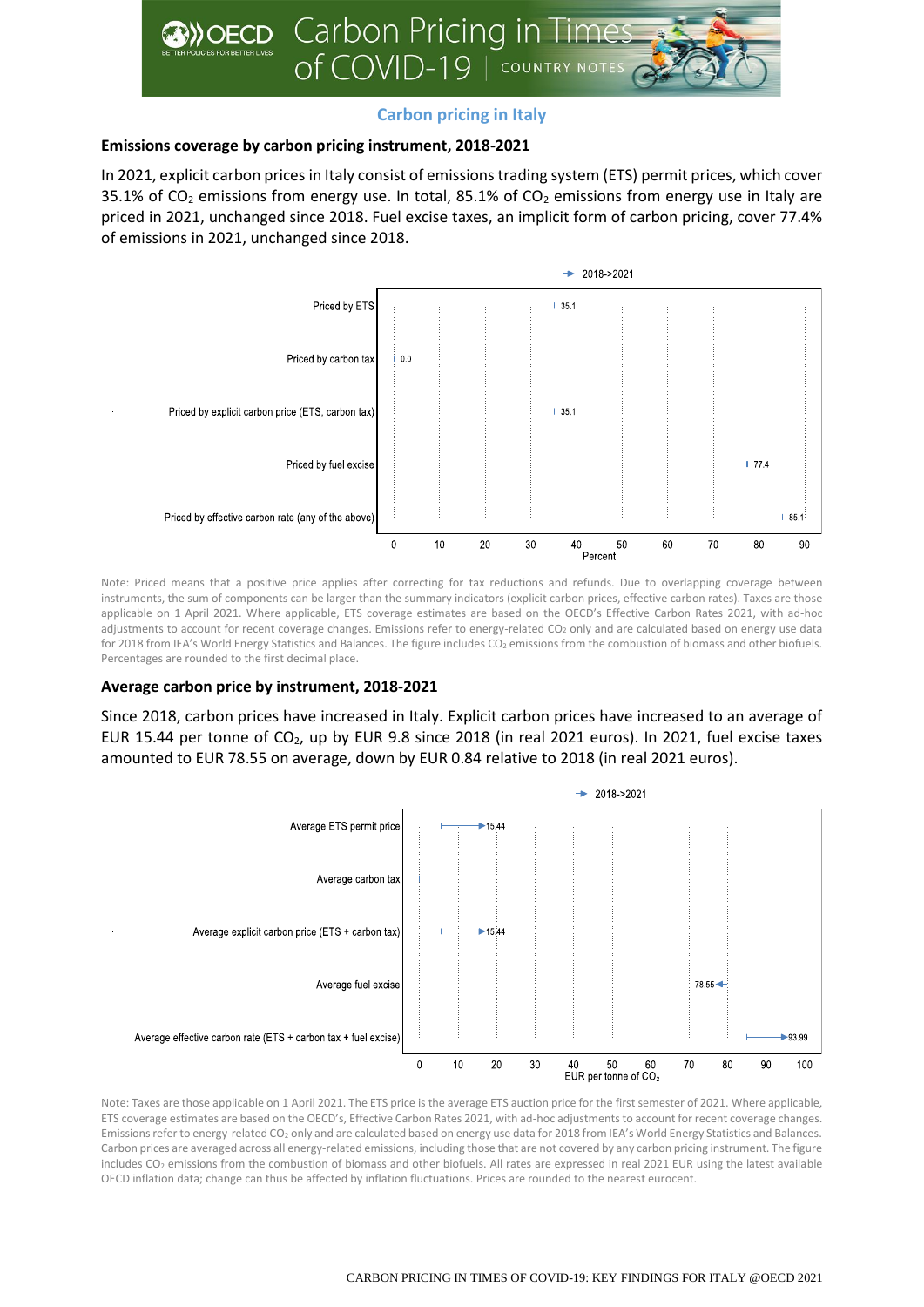

# **Carbon pricing in Italy**

# **Emissions coverage by carbon pricing instrument, 2018-2021**

In 2021, explicit carbon prices in Italy consist of emissions trading system (ETS) permit prices, which cover 35.1% of  $CO<sub>2</sub>$  emissions from energy use. In total, 85.1% of  $CO<sub>2</sub>$  emissions from energy use in Italy are priced in 2021, unchanged since 2018. Fuel excise taxes, an implicit form of carbon pricing, cover 77.4% of emissions in 2021, unchanged since 2018.



Note: Priced means that a positive price applies after correcting for tax reductions and refunds. Due to overlapping coverage between instruments, the sum of components can be larger than the summary indicators (explicit carbon prices, effective carbon rates). Taxes are those applicable on 1 April 2021. Where applicable, ETS coverage estimates are based on the OECD's Effective Carbon Rates 2021, with ad-hoc adjustments to account for recent coverage changes. Emissions refer to energy-related CO<sub>2</sub> only and are calculated based on energy use data for 2018 from IEA's World Energy Statistics and Balances. The figure includes CO<sub>2</sub> emissions from the combustion of biomass and other biofuels. Percentages are rounded to the first decimal place.

# **Average carbon price by instrument, 2018-2021**

Since 2018, carbon prices have increased in Italy. Explicit carbon prices have increased to an average of EUR 15.44 per tonne of CO2, up by EUR 9.8 since 2018 (in real 2021 euros). In 2021, fuel excise taxes amounted to EUR 78.55 on average, down by EUR 0.84 relative to 2018 (in real 2021 euros).



Note: Taxes are those applicable on 1 April 2021. The ETS price is the average ETS auction price for the first semester of 2021. Where applicable, ETS coverage estimates are based on the OECD's, Effective Carbon Rates 2021, with ad-hoc adjustments to account for recent coverage changes. Emissions refer to energy-related CO<sup>2</sup> only and are calculated based on energy use data for 2018 from IEA's World Energy Statistics and Balances. Carbon prices are averaged across all energy-related emissions, including those that are not covered by any carbon pricing instrument. The figure includes CO<sub>2</sub> emissions from the combustion of biomass and other biofuels. All rates are expressed in real 2021 EUR using the latest available OECD inflation data; change can thus be affected by inflation fluctuations. Prices are rounded to the nearest eurocent.